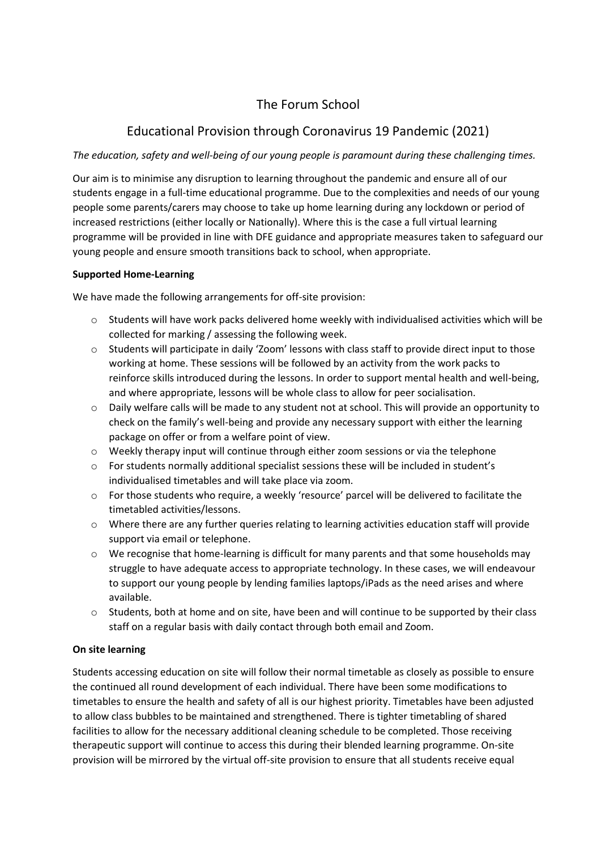# The Forum School

# Educational Provision through Coronavirus 19 Pandemic (2021)

### *The education, safety and well-being of our young people is paramount during these challenging times.*

Our aim is to minimise any disruption to learning throughout the pandemic and ensure all of our students engage in a full-time educational programme. Due to the complexities and needs of our young people some parents/carers may choose to take up home learning during any lockdown or period of increased restrictions (either locally or Nationally). Where this is the case a full virtual learning programme will be provided in line with DFE guidance and appropriate measures taken to safeguard our young people and ensure smooth transitions back to school, when appropriate.

### **Supported Home-Learning**

We have made the following arrangements for off-site provision:

- $\circ$  Students will have work packs delivered home weekly with individualised activities which will be collected for marking / assessing the following week.
- o Students will participate in daily 'Zoom' lessons with class staff to provide direct input to those working at home. These sessions will be followed by an activity from the work packs to reinforce skills introduced during the lessons. In order to support mental health and well-being, and where appropriate, lessons will be whole class to allow for peer socialisation.
- $\circ$  Daily welfare calls will be made to any student not at school. This will provide an opportunity to check on the family's well-being and provide any necessary support with either the learning package on offer or from a welfare point of view.
- o Weekly therapy input will continue through either zoom sessions or via the telephone
- o For students normally additional specialist sessions these will be included in student's individualised timetables and will take place via zoom.
- o For those students who require, a weekly 'resource' parcel will be delivered to facilitate the timetabled activities/lessons.
- o Where there are any further queries relating to learning activities education staff will provide support via email or telephone.
- o We recognise that home-learning is difficult for many parents and that some households may struggle to have adequate access to appropriate technology. In these cases, we will endeavour to support our young people by lending families laptops/iPads as the need arises and where available.
- $\circ$  Students, both at home and on site, have been and will continue to be supported by their class staff on a regular basis with daily contact through both email and Zoom.

### **On site learning**

Students accessing education on site will follow their normal timetable as closely as possible to ensure the continued all round development of each individual. There have been some modifications to timetables to ensure the health and safety of all is our highest priority. Timetables have been adjusted to allow class bubbles to be maintained and strengthened. There is tighter timetabling of shared facilities to allow for the necessary additional cleaning schedule to be completed. Those receiving therapeutic support will continue to access this during their blended learning programme. On-site provision will be mirrored by the virtual off-site provision to ensure that all students receive equal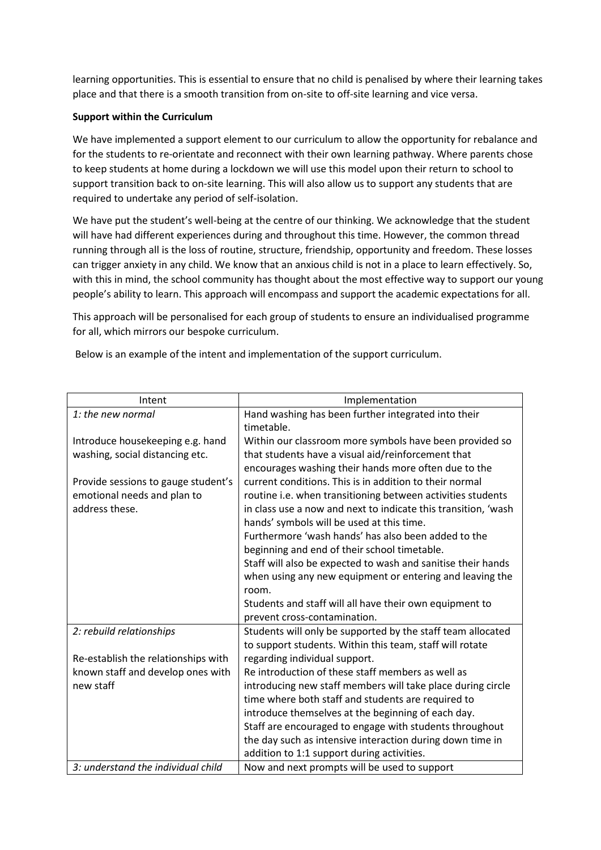learning opportunities. This is essential to ensure that no child is penalised by where their learning takes place and that there is a smooth transition from on-site to off-site learning and vice versa.

#### **Support within the Curriculum**

We have implemented a support element to our curriculum to allow the opportunity for rebalance and for the students to re-orientate and reconnect with their own learning pathway. Where parents chose to keep students at home during a lockdown we will use this model upon their return to school to support transition back to on-site learning. This will also allow us to support any students that are required to undertake any period of self-isolation.

We have put the student's well-being at the centre of our thinking. We acknowledge that the student will have had different experiences during and throughout this time. However, the common thread running through all is the loss of routine, structure, friendship, opportunity and freedom. These losses can trigger anxiety in any child. We know that an anxious child is not in a place to learn effectively. So, with this in mind, the school community has thought about the most effective way to support our young people's ability to learn. This approach will encompass and support the academic expectations for all.

This approach will be personalised for each group of students to ensure an individualised programme for all, which mirrors our bespoke curriculum.

Below is an example of the intent and implementation of the support curriculum.

| Intent                              | Implementation                                                    |
|-------------------------------------|-------------------------------------------------------------------|
| 1: the new normal                   | Hand washing has been further integrated into their<br>timetable. |
| Introduce housekeeping e.g. hand    | Within our classroom more symbols have been provided so           |
| washing, social distancing etc.     | that students have a visual aid/reinforcement that                |
|                                     | encourages washing their hands more often due to the              |
| Provide sessions to gauge student's | current conditions. This is in addition to their normal           |
| emotional needs and plan to         | routine i.e. when transitioning between activities students       |
| address these.                      | in class use a now and next to indicate this transition, 'wash    |
|                                     | hands' symbols will be used at this time.                         |
|                                     | Furthermore 'wash hands' has also been added to the               |
|                                     | beginning and end of their school timetable.                      |
|                                     | Staff will also be expected to wash and sanitise their hands      |
|                                     | when using any new equipment or entering and leaving the          |
|                                     | room.                                                             |
|                                     | Students and staff will all have their own equipment to           |
|                                     | prevent cross-contamination.                                      |
| 2: rebuild relationships            | Students will only be supported by the staff team allocated       |
|                                     | to support students. Within this team, staff will rotate          |
| Re-establish the relationships with | regarding individual support.                                     |
| known staff and develop ones with   | Re introduction of these staff members as well as                 |
| new staff                           | introducing new staff members will take place during circle       |
|                                     | time where both staff and students are required to                |
|                                     | introduce themselves at the beginning of each day.                |
|                                     | Staff are encouraged to engage with students throughout           |
|                                     | the day such as intensive interaction during down time in         |
|                                     | addition to 1:1 support during activities.                        |
| 3: understand the individual child  | Now and next prompts will be used to support                      |